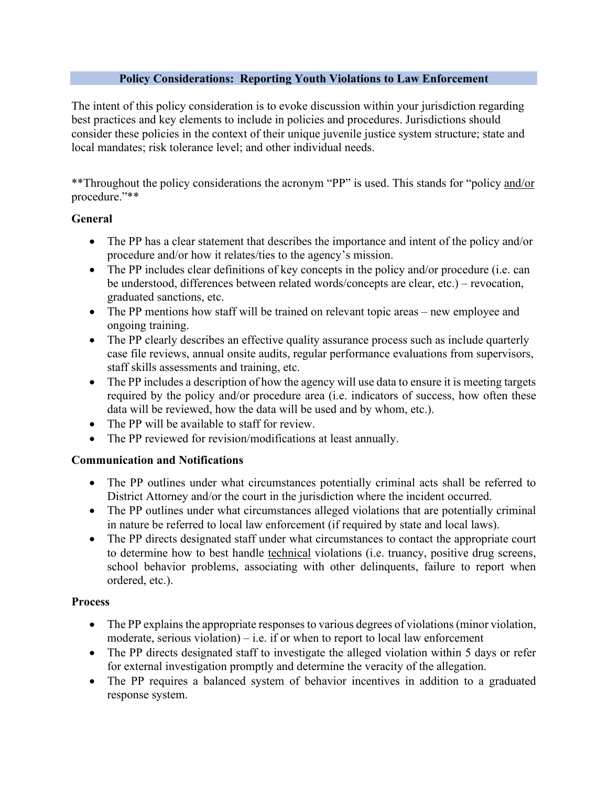#### **Policy Considerations: Reporting Youth Violations to Law Enforcement**

The intent of this policy consideration is to evoke discussion within your jurisdiction regarding best practices and key elements to include in policies and procedures. Jurisdictions should consider these policies in the context of their unique juvenile justice system structure; state and local mandates; risk tolerance level; and other individual needs.

\*\*Throughout the policy considerations the acronym "PP" is used. This stands for "policy and/or procedure."\*\*

## **General**

- The PP has a clear statement that describes the importance and intent of the policy and/or procedure and/or how it relates/ties to the agency's mission.
- The PP includes clear definitions of key concepts in the policy and/or procedure (i.e. can be understood, differences between related words/concepts are clear, etc.) – revocation, graduated sanctions, etc.
- The PP mentions how staff will be trained on relevant topic areas new employee and ongoing training.
- The PP clearly describes an effective quality assurance process such as include quarterly case file reviews, annual onsite audits, regular performance evaluations from supervisors, staff skills assessments and training, etc.
- The PP includes a description of how the agency will use data to ensure it is meeting targets required by the policy and/or procedure area (i.e. indicators of success, how often these data will be reviewed, how the data will be used and by whom, etc.).
- The PP will be available to staff for review.
- The PP reviewed for revision/modifications at least annually.

## **Communication and Notifications**

- The PP outlines under what circumstances potentially criminal acts shall be referred to District Attorney and/or the court in the jurisdiction where the incident occurred.
- The PP outlines under what circumstances alleged violations that are potentially criminal in nature be referred to local law enforcement (if required by state and local laws).
- The PP directs designated staff under what circumstances to contact the appropriate court to determine how to best handle technical violations (i.e. truancy, positive drug screens, school behavior problems, associating with other delinquents, failure to report when ordered, etc.).

#### **Process**

- The PP explains the appropriate responses to various degrees of violations (minor violation, moderate, serious violation) – i.e. if or when to report to local law enforcement
- The PP directs designated staff to investigate the alleged violation within 5 days or refer for external investigation promptly and determine the veracity of the allegation.
- The PP requires a balanced system of behavior incentives in addition to a graduated response system.